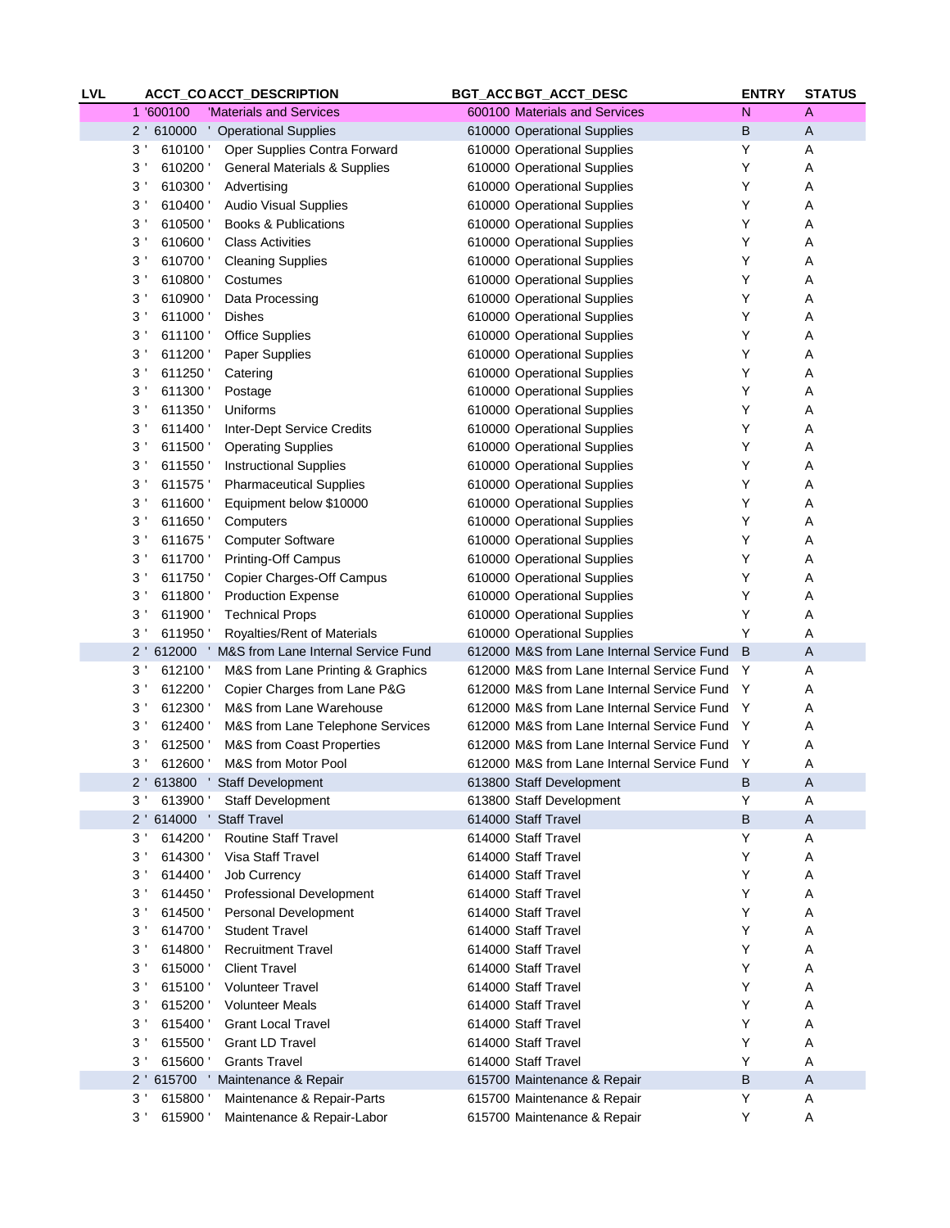| <b>LVL</b> |                           | ACCT_COACCT_DESCRIPTION                      | BGT_ACC BGT_ACCT_DESC                      | <b>ENTRY</b> | <b>STATUS</b>  |
|------------|---------------------------|----------------------------------------------|--------------------------------------------|--------------|----------------|
|            | 1 '600100                 | 'Materials and Services                      | 600100 Materials and Services              | $\mathsf{N}$ | $\overline{A}$ |
|            |                           | 2 ' 610000 ' Operational Supplies            | 610000 Operational Supplies                | B            | A              |
|            | 3 <sup>1</sup><br>610100  | Oper Supplies Contra Forward                 | 610000 Operational Supplies                | Υ            | Α              |
|            | 3 <sup>1</sup><br>610200  | <b>General Materials &amp; Supplies</b>      | 610000 Operational Supplies                | Υ            | Α              |
|            | 3'<br>610300              | Advertising                                  | 610000 Operational Supplies                | Υ            | Α              |
|            | 3 <sup>1</sup><br>610400  | <b>Audio Visual Supplies</b>                 | 610000 Operational Supplies                | Υ            | Α              |
|            | 3 <sup>1</sup><br>610500  | <b>Books &amp; Publications</b>              | 610000 Operational Supplies                | Υ            | Α              |
|            | 3 <sup>1</sup><br>610600  | <b>Class Activities</b>                      | 610000 Operational Supplies                | Υ            | Α              |
|            | 3 <sup>1</sup><br>610700  | <b>Cleaning Supplies</b>                     | 610000 Operational Supplies                | Υ            | Α              |
|            | 3 <sup>1</sup><br>610800  | Costumes                                     | 610000 Operational Supplies                | Υ            | Α              |
|            | 3 <sup>1</sup><br>610900  | Data Processing                              | 610000 Operational Supplies                | Υ            | Α              |
|            | 3 <sup>1</sup><br>611000  |                                              |                                            | Υ            |                |
|            | 3 <sup>1</sup>            | Dishes                                       | 610000 Operational Supplies                |              | Α              |
|            | 611100                    | Office Supplies                              | 610000 Operational Supplies                | Υ            | Α              |
|            | 3 <sup>1</sup><br>611200  | Paper Supplies                               | 610000 Operational Supplies                | Υ            | Α              |
|            | 3 <sup>1</sup><br>611250  | Catering                                     | 610000 Operational Supplies                | Υ            | Α              |
|            | 3 <sup>1</sup><br>611300  | Postage                                      | 610000 Operational Supplies                | Υ            | Α              |
|            | 3 <sup>1</sup><br>611350  | Uniforms                                     | 610000 Operational Supplies                | Υ            | Α              |
|            | 3 <sup>1</sup><br>611400  | <b>Inter-Dept Service Credits</b>            | 610000 Operational Supplies                | Υ            | Α              |
|            | 3 <sup>1</sup><br>611500  | <b>Operating Supplies</b>                    | 610000 Operational Supplies                | Υ            | Α              |
|            | 3 <sup>1</sup><br>611550  | <b>Instructional Supplies</b>                | 610000 Operational Supplies                | Υ            | Α              |
|            | 3 <sup>1</sup><br>611575  | <b>Pharmaceutical Supplies</b>               | 610000 Operational Supplies                | Υ            | Α              |
|            | 3 <sup>1</sup><br>611600  | Equipment below \$10000                      | 610000 Operational Supplies                | Υ            | Α              |
|            | 3 <sup>1</sup><br>611650  | Computers                                    | 610000 Operational Supplies                | Υ            | Α              |
|            | 3 <sup>1</sup><br>611675  | <b>Computer Software</b>                     | 610000 Operational Supplies                | Υ            | Α              |
|            | 3 <sup>1</sup><br>611700  | <b>Printing-Off Campus</b>                   | 610000 Operational Supplies                | Υ            | Α              |
|            | 3 <sup>1</sup><br>611750  | Copier Charges-Off Campus                    | 610000 Operational Supplies                | Υ            | Α              |
|            | 3 <sup>1</sup><br>611800  | <b>Production Expense</b>                    | 610000 Operational Supplies                | Υ            | Α              |
|            | 3 <sup>1</sup><br>611900  | <b>Technical Props</b>                       | 610000 Operational Supplies                | Υ            | Α              |
|            | 611950<br>3'              | Royalties/Rent of Materials                  | 610000 Operational Supplies                | Υ            | Α              |
|            | $2^+$                     | 612000 ' M&S from Lane Internal Service Fund | 612000 M&S from Lane Internal Service Fund | B            | A              |
|            | 3 <sup>1</sup><br>612100  | M&S from Lane Printing & Graphics            | 612000 M&S from Lane Internal Service Fund | Y            | Α              |
|            | 3 <sup>1</sup><br>612200  | Copier Charges from Lane P&G                 | 612000 M&S from Lane Internal Service Fund | Y            | Α              |
|            | 612300                    |                                              |                                            |              |                |
|            | 3'                        | M&S from Lane Warehouse                      | 612000 M&S from Lane Internal Service Fund | Y            | Α              |
|            | 3 <sup>1</sup><br>612400  | M&S from Lane Telephone Services             | 612000 M&S from Lane Internal Service Fund | Y            | Α              |
|            | 3 <sup>1</sup><br>612500  | M&S from Coast Properties                    | 612000 M&S from Lane Internal Service Fund | Y            | Α              |
|            | $3^{\prime}$<br>612600    | M&S from Motor Pool                          | 612000 M&S from Lane Internal Service Fund | Y            | Α              |
|            |                           | 2 ' 613800 ' Staff Development               | 613800 Staff Development                   | B            | Α              |
|            | 3'                        | 613900 ' Staff Development                   | 613800 Staff Development                   | Υ            | Α              |
|            | 2 ' 614000 ' Staff Travel |                                              | 614000 Staff Travel                        | B            | $\mathsf{A}$   |
|            | 3 <sup>1</sup><br>614200  | Routine Staff Travel                         | 614000 Staff Travel                        | Υ            | Α              |
|            | 3 <sup>1</sup><br>614300  | Visa Staff Travel                            | 614000 Staff Travel                        | Υ            | Α              |
|            | 3 <sup>1</sup><br>614400  | <b>Job Currency</b>                          | 614000 Staff Travel                        | Υ            | Α              |
|            | 3 <sup>1</sup><br>614450  | Professional Development                     | 614000 Staff Travel                        | Υ            | Α              |
|            | 3 <sup>1</sup><br>614500  | Personal Development                         | 614000 Staff Travel                        | Υ            | Α              |
|            | 3 <sup>1</sup><br>614700  | <b>Student Travel</b>                        | 614000 Staff Travel                        | Υ            | Α              |
|            | 3 <sup>1</sup><br>614800  | <b>Recruitment Travel</b>                    | 614000 Staff Travel                        | Υ            | Α              |
|            | 3 <sup>1</sup><br>615000  | <b>Client Travel</b>                         | 614000 Staff Travel                        | Υ            | Α              |
|            | 3 <sup>1</sup><br>615100  | <b>Volunteer Travel</b>                      | 614000 Staff Travel                        | Υ            | Α              |
|            | 3 <sup>1</sup><br>615200  | <b>Volunteer Meals</b>                       | 614000 Staff Travel                        | Υ            | Α              |
|            | 3 <sup>1</sup><br>615400  | <b>Grant Local Travel</b>                    | 614000 Staff Travel                        | Υ            | Α              |
|            | 3 <sup>1</sup><br>615500  | <b>Grant LD Travel</b>                       | 614000 Staff Travel                        | Υ            | Α              |
|            | 3 <sup>1</sup><br>615600  | <b>Grants Travel</b>                         | 614000 Staff Travel                        | Y            | Α              |
|            | $2^+$                     | 615700 ' Maintenance & Repair                | 615700 Maintenance & Repair                | B            | $\mathsf{A}$   |
|            | 3 <sup>1</sup><br>615800  | Maintenance & Repair-Parts                   | 615700 Maintenance & Repair                | Υ            | Α              |
|            | 3 <sup>1</sup>            |                                              |                                            | Υ            |                |
|            | 615900                    | Maintenance & Repair-Labor                   | 615700 Maintenance & Repair                |              | A              |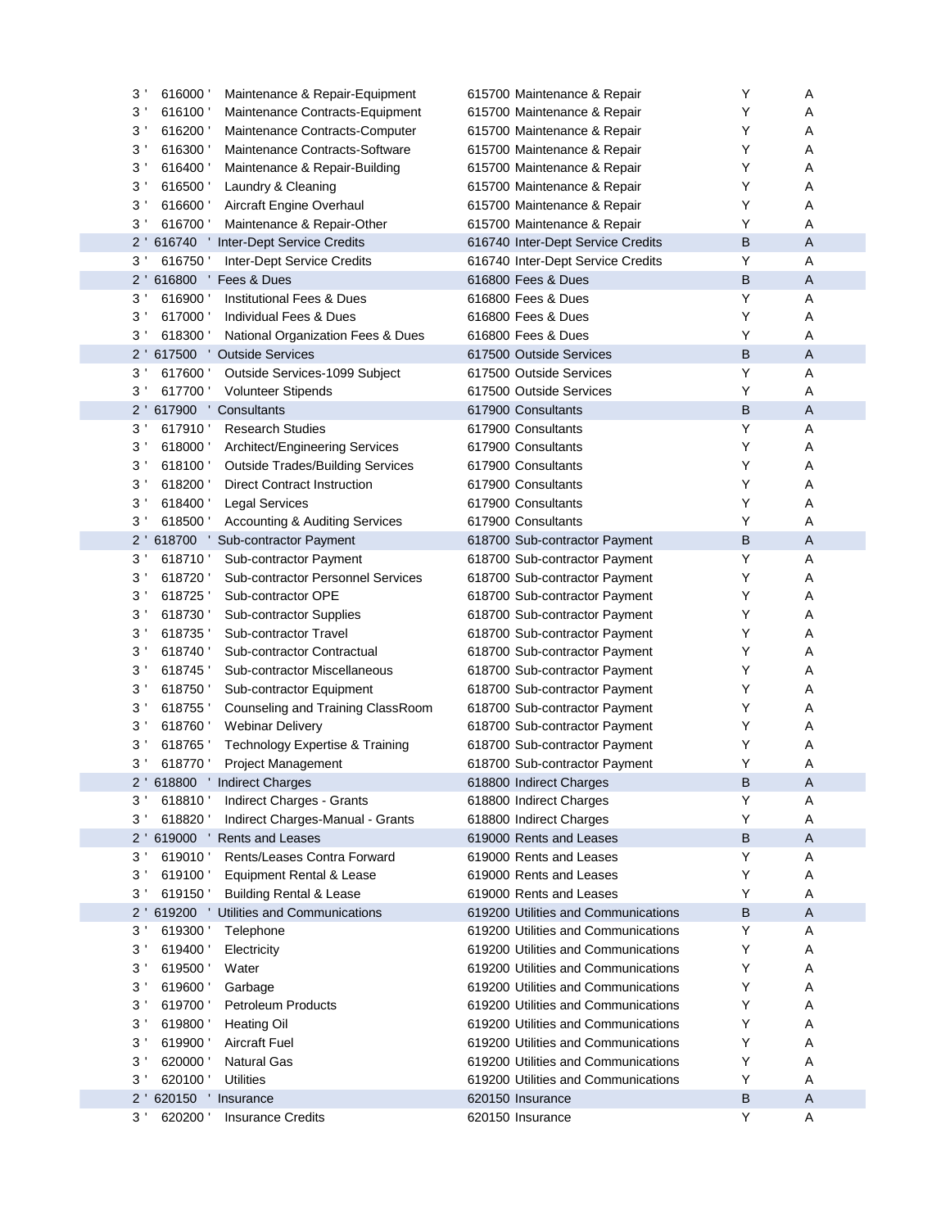|   | 3'<br>616000             | Maintenance & Repair-Equipment            | 615700 Maintenance & Repair         | Y | A              |
|---|--------------------------|-------------------------------------------|-------------------------------------|---|----------------|
|   | 3 <sup>1</sup><br>616100 | Maintenance Contracts-Equipment           | 615700 Maintenance & Repair         | Υ | A              |
|   | 3'<br>616200             | Maintenance Contracts-Computer            | 615700 Maintenance & Repair         | Υ | A              |
|   | 3'<br>616300             | Maintenance Contracts-Software            | 615700 Maintenance & Repair         | Υ | A              |
|   | 3'<br>616400             | Maintenance & Repair-Building             | 615700 Maintenance & Repair         | Υ | A              |
|   | 3 <sup>1</sup><br>616500 | Laundry & Cleaning                        | 615700 Maintenance & Repair         | Υ | A              |
|   | 3'<br>616600             | Aircraft Engine Overhaul                  | 615700 Maintenance & Repair         | Υ | A              |
|   | 3'<br>616700             | Maintenance & Repair-Other                | 615700 Maintenance & Repair         | Υ | A              |
|   | $2^{\prime}$             |                                           | 616740 Inter-Dept Service Credits   | B | $\overline{A}$ |
|   | 3 <sup>1</sup><br>616750 | <b>Inter-Dept Service Credits</b>         | 616740 Inter-Dept Service Credits   | Υ | A              |
|   | $2^{\prime}$             | 616800 Fees & Dues                        | 616800 Fees & Dues                  | B | $\overline{A}$ |
|   | 3'<br>616900             | <b>Institutional Fees &amp; Dues</b>      | 616800 Fees & Dues                  | Υ | A              |
| 3 | 617000                   | Individual Fees & Dues                    | 616800 Fees & Dues                  | Υ | A              |
|   | 3'<br>618300             | National Organization Fees & Dues         | 616800 Fees & Dues                  | Υ | A              |
|   | $2^{\prime}$             | 617500 ' Outside Services                 | 617500 Outside Services             | B | $\overline{A}$ |
|   | 3 <sup>1</sup><br>617600 | Outside Services-1099 Subject             | 617500 Outside Services             | Υ | A              |
|   | 3'<br>617700             | <b>Volunteer Stipends</b>                 | 617500 Outside Services             | Υ | A              |
|   | 617900 '<br>$2^{\prime}$ | Consultants                               | 617900 Consultants                  | B | $\mathsf{A}$   |
|   | 3'<br>617910             | <b>Research Studies</b>                   | 617900 Consultants                  | Υ | A              |
|   | 3 <sup>1</sup><br>618000 | Architect/Engineering Services            | 617900 Consultants                  | Υ | A              |
|   | 3'<br>618100             | <b>Outside Trades/Building Services</b>   | 617900 Consultants                  | Υ | A              |
|   | 3'<br>618200             | <b>Direct Contract Instruction</b>        | 617900 Consultants                  | Υ | A              |
|   | 3'<br>618400             | Legal Services                            | 617900 Consultants                  | Υ | A              |
|   | 3'<br>618500             | <b>Accounting &amp; Auditing Services</b> | 617900 Consultants                  | Υ | A              |
|   | $2^{\prime}$<br>618700 ' | Sub-contractor Payment                    | 618700 Sub-contractor Payment       | B | $\mathsf{A}$   |
|   | 3'<br>618710             | Sub-contractor Payment                    | 618700 Sub-contractor Payment       | Υ | A              |
| 3 | 618720                   | <b>Sub-contractor Personnel Services</b>  | 618700 Sub-contractor Payment       | Υ | A              |
|   | 3'<br>618725             | Sub-contractor OPE                        | 618700 Sub-contractor Payment       | Υ | A              |
|   | 3'<br>618730             | <b>Sub-contractor Supplies</b>            | 618700 Sub-contractor Payment       | Υ | A              |
|   | 3'<br>618735             | Sub-contractor Travel                     | 618700 Sub-contractor Payment       | Υ | A              |
|   | 3'<br>618740             | Sub-contractor Contractual                | 618700 Sub-contractor Payment       | Υ | A              |
|   | 3'<br>618745             | Sub-contractor Miscellaneous              | 618700 Sub-contractor Payment       | Υ | A              |
|   | 3'<br>618750             | Sub-contractor Equipment                  | 618700 Sub-contractor Payment       | Υ | A              |
|   | 3'<br>618755             | Counseling and Training ClassRoom         | 618700 Sub-contractor Payment       | Υ | A              |
|   | 3'<br>618760             | <b>Webinar Delivery</b>                   | 618700 Sub-contractor Payment       | Υ | A              |
|   | $3^{\prime}$<br>618765   | Technology Expertise & Training           | 618700 Sub-contractor Payment       | Υ | A              |
|   | $3^{\prime}$<br>618770   | Project Management                        | 618700 Sub-contractor Payment       | Υ | A              |
|   |                          | 2 ' 618800 ' Indirect Charges             | 618800 Indirect Charges             | B | Α              |
|   | 3'<br>618810 '           | Indirect Charges - Grants                 | 618800 Indirect Charges             | Υ | A              |
|   | 3 <sup>1</sup><br>618820 | Indirect Charges-Manual - Grants          | 618800 Indirect Charges             | Υ | Α              |
|   | $2^{\prime}$             | 619000 ' Rents and Leases                 | 619000 Rents and Leases             | B | $\overline{A}$ |
|   | 3 <sup>1</sup><br>619010 | Rents/Leases Contra Forward               | 619000 Rents and Leases             | Υ | Α              |
|   | 3'<br>619100             | Equipment Rental & Lease                  | 619000 Rents and Leases             | Υ | Α              |
|   | 3'<br>619150             | <b>Building Rental &amp; Lease</b>        | 619000 Rents and Leases             | Υ | Α              |
|   | $2^{\prime}$             | 619200 ' Utilities and Communications     | 619200 Utilities and Communications | B | $\overline{A}$ |
|   | 3 <sup>1</sup><br>619300 | Telephone                                 | 619200 Utilities and Communications | Υ | A              |
|   | 3'<br>619400             | Electricity                               | 619200 Utilities and Communications | Υ | A              |
|   | 3'<br>619500             | Water                                     | 619200 Utilities and Communications | Υ | A              |
|   | 3'<br>619600             | Garbage                                   | 619200 Utilities and Communications | Υ | A              |
|   | 3'<br>619700             | Petroleum Products                        | 619200 Utilities and Communications | Υ | A              |
|   | 3'<br>619800             | <b>Heating Oil</b>                        | 619200 Utilities and Communications | Υ | A              |
|   | $3^{\prime}$<br>619900   | <b>Aircraft Fuel</b>                      | 619200 Utilities and Communications | Υ | A              |
|   | $3^{\prime}$<br>620000   | <b>Natural Gas</b>                        | 619200 Utilities and Communications | Υ | A              |
|   | 3'<br>620100             | <b>Utilities</b>                          | 619200 Utilities and Communications | Υ | Α              |
|   | $2^{\prime}$             | 620150 ' Insurance                        | 620150 Insurance                    | B | $\overline{A}$ |
|   | 3 <sup>1</sup><br>620200 | <b>Insurance Credits</b>                  | 620150 Insurance                    | Υ | A              |
|   |                          |                                           |                                     |   |                |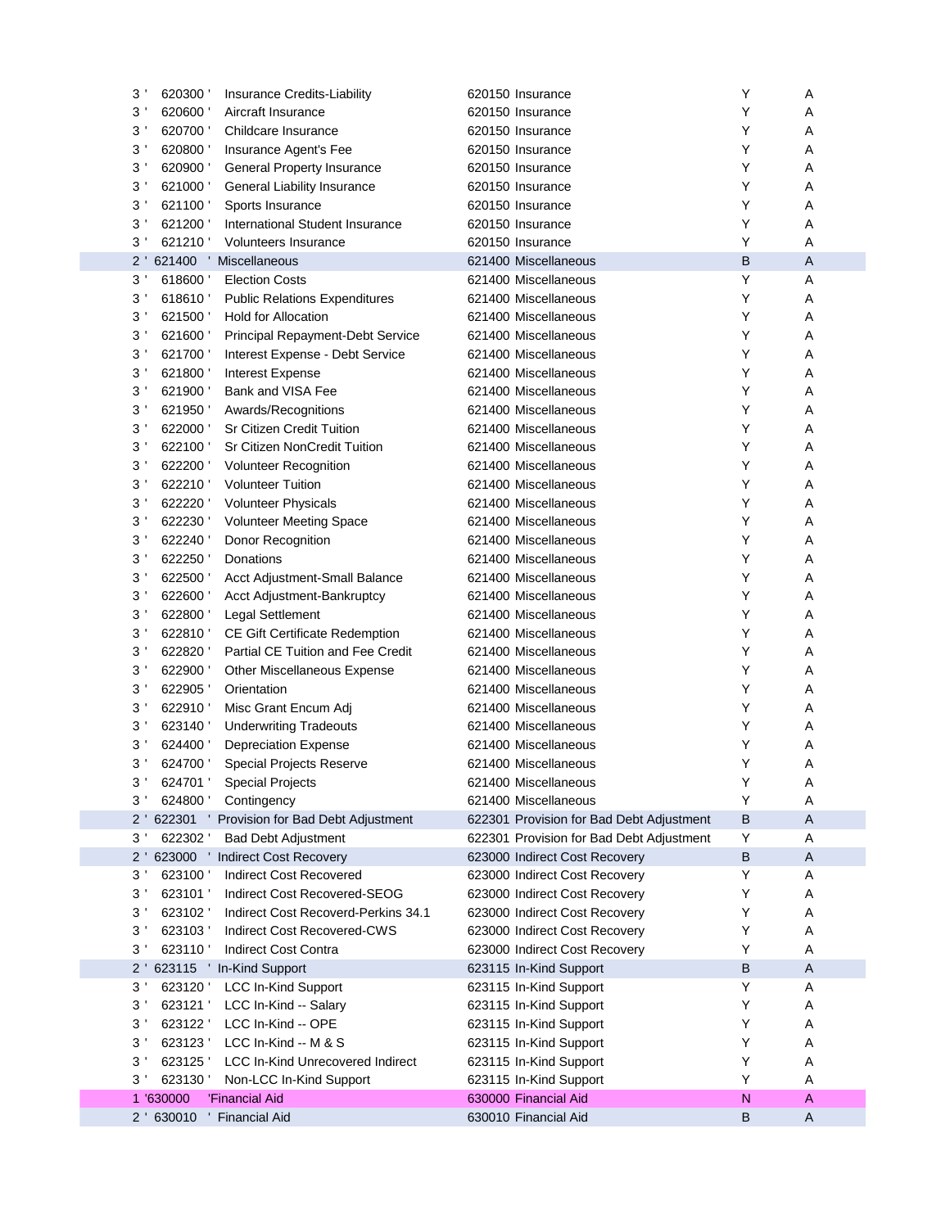| 3 <sup>1</sup> | 620300    | Insurance Credits-Liability                    | 620150 Insurance                         | Υ | Α            |
|----------------|-----------|------------------------------------------------|------------------------------------------|---|--------------|
| 3'             | 620600    | Aircraft Insurance                             | 620150 Insurance                         | Υ | Α            |
| 3'             | 620700    | Childcare Insurance                            | 620150 Insurance                         | Υ | Α            |
| 3'             | 620800    | Insurance Agent's Fee                          | 620150 Insurance                         | Y | Α            |
| 3'             | 620900    | General Property Insurance                     | 620150 Insurance                         | Υ | Α            |
| 3'             | 621000    | General Liability Insurance                    | 620150 Insurance                         | Υ | Α            |
| 3'             | 621100    | Sports Insurance                               | 620150 Insurance                         | Υ | Α            |
| 3'             | 621200    | International Student Insurance                | 620150 Insurance                         | Υ | Α            |
| 3'             | 621210    | <b>Volunteers Insurance</b>                    | 620150 Insurance                         | Υ | Α            |
| $2^{\prime}$   | 621400 '  | Miscellaneous                                  | 621400 Miscellaneous                     | B | A            |
| 3'             | 618600    | <b>Election Costs</b>                          | 621400 Miscellaneous                     | Υ | Α            |
| 3              | 618610    | <b>Public Relations Expenditures</b>           | 621400 Miscellaneous                     | Υ | Α            |
| 3'             | 621500    | <b>Hold for Allocation</b>                     | 621400 Miscellaneous                     | Υ | Α            |
| 3'             | 621600    | Principal Repayment-Debt Service               | 621400 Miscellaneous                     | Υ | Α            |
| 3'             | 621700    | Interest Expense - Debt Service                | 621400 Miscellaneous                     | Υ | Α            |
| 3'             | 621800    | Interest Expense                               | 621400 Miscellaneous                     | Y | Α            |
| 3'             | 621900    | Bank and VISA Fee                              | 621400 Miscellaneous                     | Y | Α            |
| 3'             | 621950    | Awards/Recognitions                            | 621400 Miscellaneous                     | Υ | Α            |
| 3'             | 622000    | Sr Citizen Credit Tuition                      | 621400 Miscellaneous                     | Υ | Α            |
| 3'             | 622100    | Sr Citizen NonCredit Tuition                   | 621400 Miscellaneous                     | Υ | Α            |
| 3'             | 622200    | <b>Volunteer Recognition</b>                   | 621400 Miscellaneous                     | Υ | Α            |
| 3'             | 622210    | <b>Volunteer Tuition</b>                       | 621400 Miscellaneous                     | Y | Α            |
| 3'             | 622220    | <b>Volunteer Physicals</b>                     | 621400 Miscellaneous                     | Y | Α            |
| 3'             | 622230    | <b>Volunteer Meeting Space</b>                 | 621400 Miscellaneous                     | Υ | Α            |
| 3'             | 622240    | Donor Recognition                              | 621400 Miscellaneous                     | Υ | Α            |
| 3'             | 622250    | Donations                                      | 621400 Miscellaneous                     | Υ | Α            |
| 3'             | 622500    |                                                | 621400 Miscellaneous                     | Υ | Α            |
| 3'             | 622600    | Acct Adjustment-Small Balance                  | 621400 Miscellaneous                     | Y |              |
| 3'             |           | Acct Adjustment-Bankruptcy                     |                                          | Y | Α            |
|                | 622800    | <b>Legal Settlement</b>                        | 621400 Miscellaneous                     |   | Α            |
| 3'             | 622810    | <b>CE Gift Certificate Redemption</b>          | 621400 Miscellaneous                     | Υ | Α            |
| 3'             | 622820    | Partial CE Tuition and Fee Credit              | 621400 Miscellaneous                     | Υ | Α            |
| 3'             | 622900    | Other Miscellaneous Expense                    | 621400 Miscellaneous                     | Υ | Α            |
| 3'             | 622905    | Orientation                                    | 621400 Miscellaneous                     | Υ | Α            |
| 3'             | 622910    | Misc Grant Encum Adj                           | 621400 Miscellaneous                     | Υ | Α            |
| 3'             | 623140    | <b>Underwriting Tradeouts</b>                  | 621400 Miscellaneous                     | Y | Α            |
| 3'             | 624400    | <b>Depreciation Expense</b>                    | 621400 Miscellaneous                     | Υ | Α            |
| 3 <sup>1</sup> | 624700    | <b>Special Projects Reserve</b>                | 621400 Miscellaneous                     | Y | Α            |
| 3'             | 624701    | Special Projects                               | 621400 Miscellaneous                     | Υ | Α            |
| 3 <sup>1</sup> |           | 624800 ' Contingency                           | 621400 Miscellaneous                     | Υ | Α            |
|                |           | 2 ' 622301 ' Provision for Bad Debt Adjustment | 622301 Provision for Bad Debt Adjustment | B | A            |
| 3 <sup>1</sup> | 622302    | <b>Bad Debt Adjustment</b>                     | 622301 Provision for Bad Debt Adjustment | Υ | Α            |
| $2^{\prime}$   |           | 623000 ' Indirect Cost Recovery                | 623000 Indirect Cost Recovery            | B | A            |
| 3'             | 623100    | Indirect Cost Recovered                        | 623000 Indirect Cost Recovery            | Y | Α            |
| 3'             | 623101    | Indirect Cost Recovered-SEOG                   | 623000 Indirect Cost Recovery            | Υ | Α            |
| 3'             | 623102    | Indirect Cost Recoverd-Perkins 34.1            | 623000 Indirect Cost Recovery            | Y | Α            |
| $3^{\prime}$   | 623103    | Indirect Cost Recovered-CWS                    | 623000 Indirect Cost Recovery            | Y | Α            |
| $3^{\prime}$   | 623110    | <b>Indirect Cost Contra</b>                    | 623000 Indirect Cost Recovery            | Y | Α            |
| $2^{\prime}$   |           | 623115 ' In-Kind Support                       | 623115 In-Kind Support                   | B | $\mathsf{A}$ |
| 3 <sup>1</sup> | 623120    | <b>LCC In-Kind Support</b>                     | 623115 In-Kind Support                   | Y | Α            |
| 3'             | 623121    | LCC In-Kind -- Salary                          | 623115 In-Kind Support                   | Υ | Α            |
| 3 <sup>1</sup> | 623122    | LCC In-Kind -- OPE                             | 623115 In-Kind Support                   | Y | Α            |
| 3 <sup>1</sup> | 623123    | LCC In-Kind -- M & S                           | 623115 In-Kind Support                   | Y | Α            |
| 3 <sup>1</sup> | 623125    | <b>LCC In-Kind Unrecovered Indirect</b>        | 623115 In-Kind Support                   | Y | Α            |
| $3^{\prime}$   | 623130    | Non-LCC In-Kind Support                        | 623115 In-Kind Support                   | Y | Α            |
|                | 1 '630000 | 'Financial Aid                                 | 630000 Financial Aid                     | N | Α            |
|                |           | 2 ' 630010 ' Financial Aid                     | 630010 Financial Aid                     | В | A            |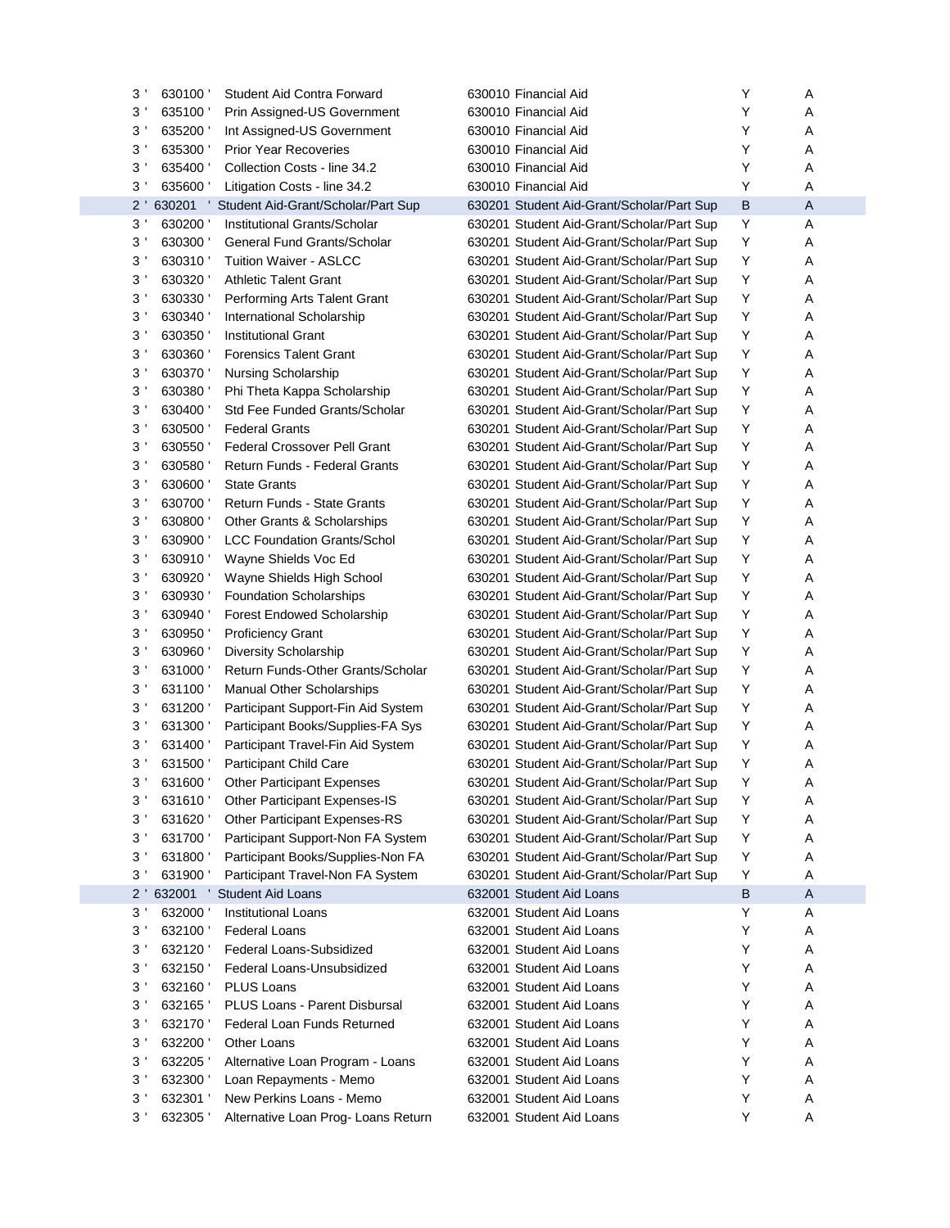| 3<br>630100              | Student Aid Contra Forward                  | 630010 Financial Aid                      | Y | Α |
|--------------------------|---------------------------------------------|-------------------------------------------|---|---|
| 3'<br>635100             | Prin Assigned-US Government                 | 630010 Financial Aid                      | Y | Α |
| 3'<br>635200             | Int Assigned-US Government                  | 630010 Financial Aid                      | Y | Α |
| 3'<br>635300             | <b>Prior Year Recoveries</b>                | 630010 Financial Aid                      | Y | Α |
| 3'<br>635400             | Collection Costs - line 34.2                | 630010 Financial Aid                      | Y | Α |
| 3<br>635600              | Litigation Costs - line 34.2                | 630010 Financial Aid                      | Y | Α |
| $2^{\prime}$             | 630201 ' Student Aid-Grant/Scholar/Part Sup | 630201 Student Aid-Grant/Scholar/Part Sup | В | A |
| 3 <sup>1</sup><br>630200 | Institutional Grants/Scholar                | 630201 Student Aid-Grant/Scholar/Part Sup | Υ | Α |
| 3<br>630300              | General Fund Grants/Scholar                 | 630201 Student Aid-Grant/Scholar/Part Sup | Υ | Α |
| 3<br>630310              | <b>Tuition Waiver - ASLCC</b>               | 630201 Student Aid-Grant/Scholar/Part Sup | Υ | Α |
| 3 <sup>1</sup><br>630320 | <b>Athletic Talent Grant</b>                | 630201 Student Aid-Grant/Scholar/Part Sup | Υ | Α |
| 3 <sup>1</sup><br>630330 | Performing Arts Talent Grant                | 630201 Student Aid-Grant/Scholar/Part Sup | Υ | Α |
| 3 <sup>1</sup><br>630340 | International Scholarship                   | 630201 Student Aid-Grant/Scholar/Part Sup | Υ | Α |
| 3 <sup>1</sup><br>630350 | <b>Institutional Grant</b>                  | 630201 Student Aid-Grant/Scholar/Part Sup | Υ | Α |
| 3 <sup>1</sup><br>630360 | <b>Forensics Talent Grant</b>               | 630201 Student Aid-Grant/Scholar/Part Sup | Υ | Α |
| 3 <sup>1</sup><br>630370 | Nursing Scholarship                         | 630201 Student Aid-Grant/Scholar/Part Sup | Υ | Α |
| 3 <sup>1</sup><br>630380 | Phi Theta Kappa Scholarship                 | 630201 Student Aid-Grant/Scholar/Part Sup | Υ | Α |
| $3^{\prime}$<br>630400   | Std Fee Funded Grants/Scholar               | 630201 Student Aid-Grant/Scholar/Part Sup | Υ | Α |
| 3 <sup>1</sup><br>630500 | <b>Federal Grants</b>                       | 630201 Student Aid-Grant/Scholar/Part Sup | Υ | Α |
| 3 <sup>1</sup><br>630550 | Federal Crossover Pell Grant                | 630201 Student Aid-Grant/Scholar/Part Sup | Υ | Α |
| 3 <sup>1</sup><br>630580 | <b>Return Funds - Federal Grants</b>        | 630201 Student Aid-Grant/Scholar/Part Sup | Υ | Α |
| 3 <sup>1</sup><br>630600 | <b>State Grants</b>                         | 630201 Student Aid-Grant/Scholar/Part Sup | Υ | Α |
| 3 <sup>1</sup><br>630700 | <b>Return Funds - State Grants</b>          | 630201 Student Aid-Grant/Scholar/Part Sup | Υ | Α |
| 3 <sup>1</sup><br>630800 | Other Grants & Scholarships                 | 630201 Student Aid-Grant/Scholar/Part Sup | Υ | Α |
| 3 <sup>1</sup><br>630900 | <b>LCC Foundation Grants/Schol</b>          | 630201 Student Aid-Grant/Scholar/Part Sup | Υ | Α |
| 3 <sup>1</sup><br>630910 | Wayne Shields Voc Ed                        | 630201 Student Aid-Grant/Scholar/Part Sup | Y | Α |
| 3 <sup>1</sup><br>630920 | Wayne Shields High School                   | 630201 Student Aid-Grant/Scholar/Part Sup | Υ | Α |
| 3 <sup>1</sup><br>630930 | <b>Foundation Scholarships</b>              | 630201 Student Aid-Grant/Scholar/Part Sup | Υ | Α |
| 3 <sup>1</sup><br>630940 | <b>Forest Endowed Scholarship</b>           | 630201 Student Aid-Grant/Scholar/Part Sup | Υ | Α |
| 3 <sup>1</sup><br>630950 | <b>Proficiency Grant</b>                    | 630201 Student Aid-Grant/Scholar/Part Sup | Υ | Α |
| 3 <sup>1</sup><br>630960 | Diversity Scholarship                       | 630201 Student Aid-Grant/Scholar/Part Sup | Υ | Α |
| 3<br>631000              | Return Funds-Other Grants/Scholar           | 630201 Student Aid-Grant/Scholar/Part Sup | Υ | Α |
| 3<br>631100              | <b>Manual Other Scholarships</b>            | 630201 Student Aid-Grant/Scholar/Part Sup | Υ | Α |
| 3<br>631200              | Participant Support-Fin Aid System          | 630201 Student Aid-Grant/Scholar/Part Sup | Y | Α |
| 3<br>631300              | Participant Books/Supplies-FA Sys           | 630201 Student Aid-Grant/Scholar/Part Sup | Y | Α |
| 3<br>631400              | Participant Travel-Fin Aid System           | 630201 Student Aid-Grant/Scholar/Part Sup | Y | Α |
| 3'<br>631500             | Participant Child Care                      | 630201 Student Aid-Grant/Scholar/Part Sup | Y | Α |
| י ג<br>631600            | <b>Other Participant Expenses</b>           | 630201 Student Aid-Grant/Scholar/Part Sup | Y | А |
| 3<br>631610              | Other Participant Expenses-IS               | 630201 Student Aid-Grant/Scholar/Part Sup | Y | Α |
| $3^{\prime}$<br>631620   | Other Participant Expenses-RS               | 630201 Student Aid-Grant/Scholar/Part Sup | Y | Α |
| 3<br>631700              | Participant Support-Non FA System           | 630201 Student Aid-Grant/Scholar/Part Sup | Y | Α |
| 3<br>631800              | Participant Books/Supplies-Non FA           | 630201 Student Aid-Grant/Scholar/Part Sup | Y | Α |
| 3<br>631900              | Participant Travel-Non FA System            | 630201 Student Aid-Grant/Scholar/Part Sup | Y | Α |
| $2^{\prime}$             | 632001 ' Student Aid Loans                  | 632001 Student Aid Loans                  | В | A |
| 3 <sup>1</sup><br>632000 | <b>Institutional Loans</b>                  | 632001 Student Aid Loans                  | Υ | Α |
| 3<br>632100              | <b>Federal Loans</b>                        | 632001 Student Aid Loans                  | Y | Α |
| 3<br>632120              | Federal Loans-Subsidized                    | 632001 Student Aid Loans                  | Y | Α |
| 3<br>632150              | Federal Loans-Unsubsidized                  | 632001 Student Aid Loans                  | Y | Α |
| 3<br>632160              | <b>PLUS Loans</b>                           | 632001 Student Aid Loans                  | Y | Α |
| 3<br>632165              | PLUS Loans - Parent Disbursal               | 632001 Student Aid Loans                  | Y | Α |
| 3<br>632170              | Federal Loan Funds Returned                 | 632001 Student Aid Loans                  | Y | Α |
| 3<br>632200              | Other Loans                                 | 632001 Student Aid Loans                  | Y | Α |
| 3<br>632205              | Alternative Loan Program - Loans            | 632001 Student Aid Loans                  | Y | Α |
| 3<br>632300              | Loan Repayments - Memo                      | 632001 Student Aid Loans                  | Y | Α |
| 3<br>632301              | New Perkins Loans - Memo                    | 632001 Student Aid Loans                  | Y | Α |
| 3<br>632305              | Alternative Loan Prog- Loans Return         | 632001 Student Aid Loans                  | Y | Α |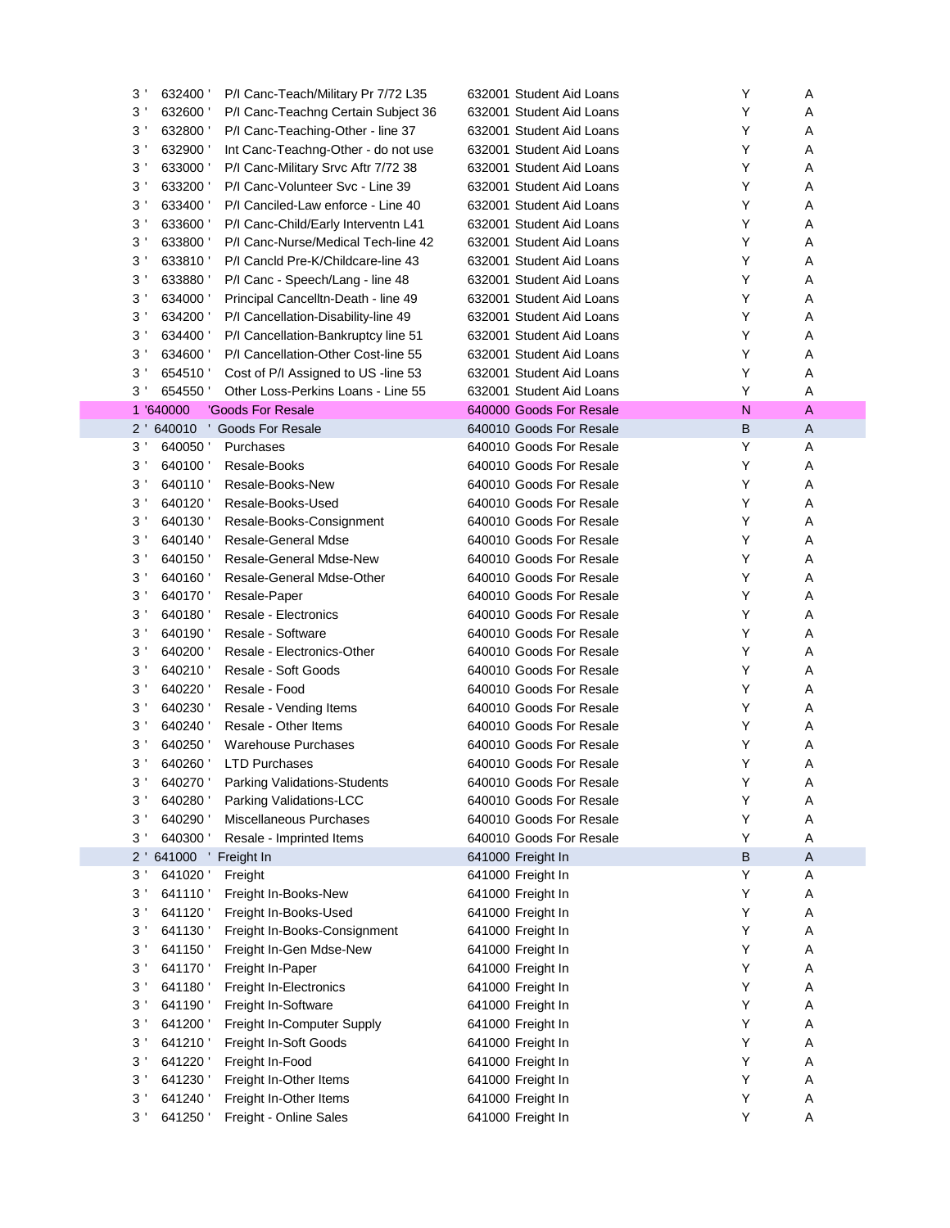| 3 <sup>1</sup>         | P/I Canc-Teach/Military Pr 7/72 L35<br>632400 | 632001 Student Aid Loans | Υ | Α            |
|------------------------|-----------------------------------------------|--------------------------|---|--------------|
| 3 <sup>1</sup>         | 632600<br>P/I Canc-Teachng Certain Subject 36 | 632001 Student Aid Loans | Y | Α            |
| 3'                     | 632800<br>P/I Canc-Teaching-Other - line 37   | 632001 Student Aid Loans | Y | Α            |
| 3'                     | 632900<br>Int Canc-Teachng-Other - do not use | 632001 Student Aid Loans | Y | Α            |
| 3'                     | 633000<br>P/I Canc-Military Srvc Aftr 7/72 38 | 632001 Student Aid Loans | Y | Α            |
| 3'                     | 633200<br>P/I Canc-Volunteer Svc - Line 39    | 632001 Student Aid Loans | Y | Α            |
| 3'                     | 633400<br>P/I Canciled-Law enforce - Line 40  | 632001 Student Aid Loans | Y | Α            |
| 3'                     | 633600<br>P/I Canc-Child/Early Interventn L41 | 632001 Student Aid Loans | Y | Α            |
| 3'                     | 633800<br>P/I Canc-Nurse/Medical Tech-line 42 | 632001 Student Aid Loans | Y | Α            |
| 3'                     | 633810<br>P/I Cancld Pre-K/Childcare-line 43  | 632001 Student Aid Loans | Y | Α            |
| 3'                     | 633880<br>P/I Canc - Speech/Lang - line 48    | 632001 Student Aid Loans | Y | Α            |
| 3'                     | 634000<br>Principal Cancelltn-Death - line 49 | 632001 Student Aid Loans | Y | Α            |
| 3'                     | 634200<br>P/I Cancellation-Disability-line 49 | 632001 Student Aid Loans | Y | Α            |
| 3'                     | 634400<br>P/I Cancellation-Bankruptcy line 51 | 632001 Student Aid Loans | Y | Α            |
| 3'                     | 634600<br>P/I Cancellation-Other Cost-line 55 | 632001 Student Aid Loans | Y | Α            |
| 3'                     | 654510<br>Cost of P/I Assigned to US -line 53 | 632001 Student Aid Loans | Y | Α            |
| 3'                     | 654550<br>Other Loss-Perkins Loans - Line 55  | 632001 Student Aid Loans | Y | Α            |
| 1 '640000              | 'Goods For Resale                             | 640000 Goods For Resale  | N | Α            |
| 640010<br>$2^{\prime}$ | ' Goods For Resale                            | 640010 Goods For Resale  | B | A            |
| 3'                     | 640050<br>Purchases                           | 640010 Goods For Resale  | Y | Α            |
| 3 <sup>1</sup>         | 640100<br>Resale-Books                        | 640010 Goods For Resale  | Y | Α            |
| 3'                     | 640110<br>Resale-Books-New                    | 640010 Goods For Resale  | Y | Α            |
| 3'                     | 640120<br>Resale-Books-Used                   | 640010 Goods For Resale  | Y | Α            |
| 3'                     | 640130<br>Resale-Books-Consignment            | 640010 Goods For Resale  | Y | Α            |
| 3'                     | 640140<br>Resale-General Mdse                 | 640010 Goods For Resale  | Y | Α            |
| 3'                     | 640150<br>Resale-General Mdse-New             | 640010 Goods For Resale  | Y | Α            |
| 3'                     | 640160<br>Resale-General Mdse-Other           | 640010 Goods For Resale  | Y | Α            |
| 3'                     | 640170<br>Resale-Paper                        | 640010 Goods For Resale  | Y | Α            |
| 3'                     | 640180<br>Resale - Electronics                | 640010 Goods For Resale  | Y | Α            |
| 3'                     | 640190<br>Resale - Software                   | 640010 Goods For Resale  | Y | Α            |
| 3'                     | 640200<br>Resale - Electronics-Other          | 640010 Goods For Resale  | Y | Α            |
| 3'                     | 640210<br>Resale - Soft Goods                 | 640010 Goods For Resale  | Y | Α            |
| 3'                     | 640220<br>Resale - Food                       | 640010 Goods For Resale  | Y | Α            |
| 3'                     | 640230<br>Resale - Vending Items              | 640010 Goods For Resale  | Y | Α            |
| 3'                     | 640240<br>Resale - Other Items                | 640010 Goods For Resale  | Y | Α            |
| 3'                     | 640250<br><b>Warehouse Purchases</b>          | 640010 Goods For Resale  | Y | Α            |
| 3'                     | 640260<br><b>LTD Purchases</b>                | 640010 Goods For Resale  | Y | Α            |
| 3 <sup>1</sup>         | <b>Parking Validations-Students</b><br>640270 | 640010 Goods For Resale  | Υ | Α            |
| 3'                     | 640280<br>Parking Validations-LCC             | 640010 Goods For Resale  | Υ | Α            |
| 3'                     | 640290<br>Miscellaneous Purchases             | 640010 Goods For Resale  | Y | Α            |
| 3'                     | 640300<br>Resale - Imprinted Items            | 640010 Goods For Resale  | Υ | Α            |
| $2^{\prime}$           | 641000 Freight In                             | 641000 Freight In        | B | $\mathsf{A}$ |
| 3 <sup>1</sup>         | 641020<br>Freight                             | 641000 Freight In        | Y | Α            |
| 3'                     | 641110<br>Freight In-Books-New                | 641000 Freight In        | Υ | Α            |
| 3'                     | 641120<br>Freight In-Books-Used               | 641000 Freight In        | Υ | Α            |
| 3'                     | 641130<br>Freight In-Books-Consignment        | 641000 Freight In        | Υ | Α            |
| 3'                     | 641150<br>Freight In-Gen Mdse-New             | 641000 Freight In        | Υ | Α            |
| 3'                     | 641170<br>Freight In-Paper                    | 641000 Freight In        | Υ | Α            |
| 3'                     | 641180<br>Freight In-Electronics              | 641000 Freight In        | Y | Α            |
| 3'                     | 641190<br>Freight In-Software                 | 641000 Freight In        | Y | Α            |
| 3'                     | 641200<br>Freight In-Computer Supply          | 641000 Freight In        | Υ | Α            |
| 3'                     | 641210<br>Freight In-Soft Goods               | 641000 Freight In        | Υ | Α            |
| 3'                     | 641220<br>Freight In-Food                     | 641000 Freight In        | Υ | Α            |
| 3'                     | 641230<br>Freight In-Other Items              | 641000 Freight In        | Υ | Α            |
| 3'                     | 641240<br>Freight In-Other Items              | 641000 Freight In        | Υ | Α            |
| 3'                     | 641250<br>Freight - Online Sales              | 641000 Freight In        | Υ | Α            |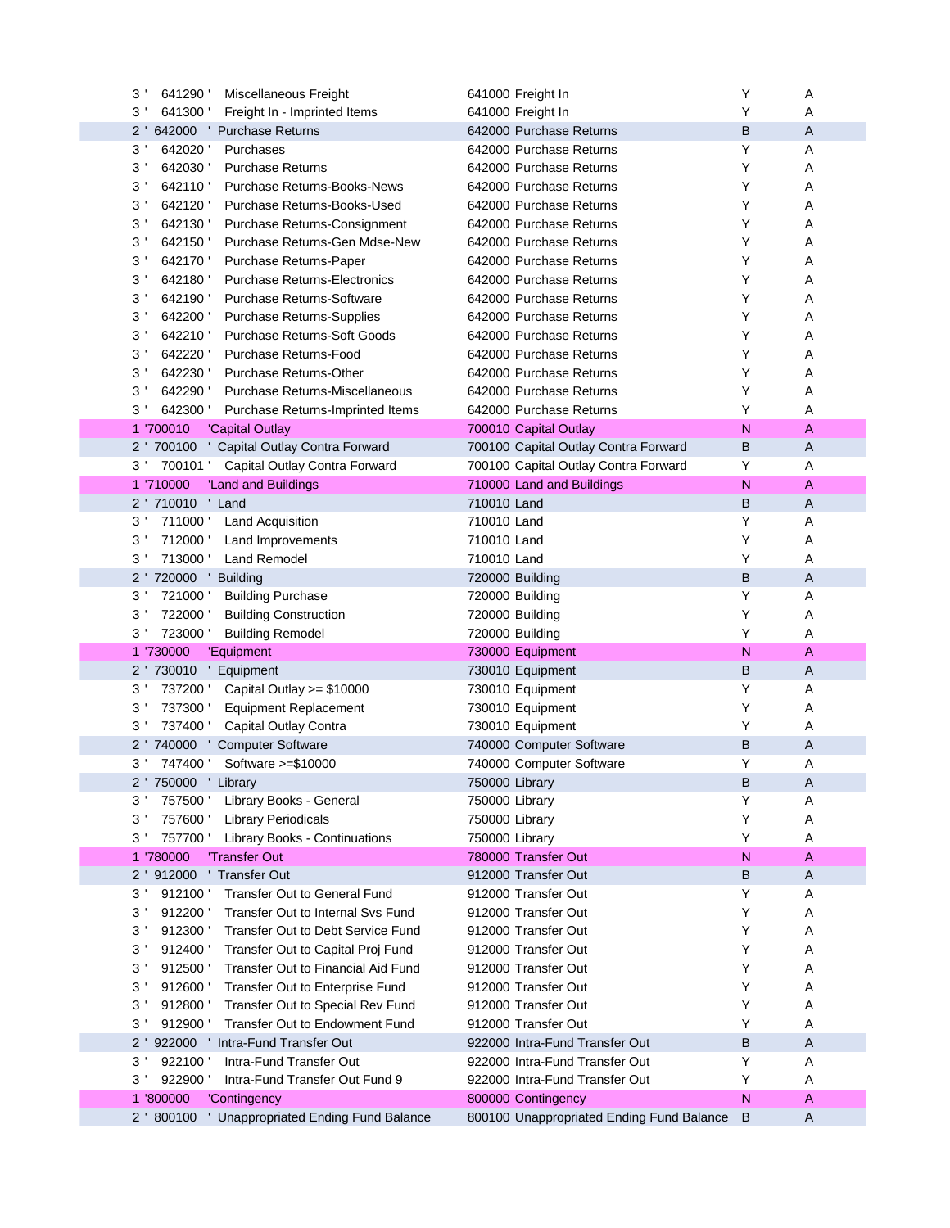| 3'<br>641290<br>Miscellaneous Freight                        | 641000 Freight In                         | Υ            | Α |
|--------------------------------------------------------------|-------------------------------------------|--------------|---|
| $3^{\prime}$<br>641300<br>Freight In - Imprinted Items       | 641000 Freight In                         | Y            | Α |
| $2^{\prime}$<br>642000 Purchase Returns                      | 642000 Purchase Returns                   | B            | Α |
| $3$ $^{\prime}$<br>642020<br>Purchases                       | 642000 Purchase Returns                   | Υ            | Α |
| $3^{\prime}$<br>642030<br><b>Purchase Returns</b>            | 642000 Purchase Returns                   | Y            | Α |
| 3'<br>642110<br><b>Purchase Returns-Books-News</b>           | 642000 Purchase Returns                   | Y            | Α |
| 3'<br>642120<br>Purchase Returns-Books-Used                  | 642000 Purchase Returns                   | Y            | Α |
| 3'<br>642130<br>Purchase Returns-Consignment                 | 642000 Purchase Returns                   | Y            | Α |
| 3'<br>642150<br>Purchase Returns-Gen Mdse-New                | 642000 Purchase Returns                   | Y            | Α |
| 3'<br>642170<br>Purchase Returns-Paper                       | 642000 Purchase Returns                   | Y            | Α |
| 3'<br>642180<br><b>Purchase Returns-Electronics</b>          | 642000 Purchase Returns                   | Y            | Α |
| 3'<br>642190<br><b>Purchase Returns-Software</b>             | 642000 Purchase Returns                   | Y            | Α |
| 3'<br>642200<br>Purchase Returns-Supplies                    | 642000 Purchase Returns                   | Y            | Α |
| 642210<br>3'<br><b>Purchase Returns-Soft Goods</b>           | 642000 Purchase Returns                   | Y            | Α |
| 642220<br>3'<br>Purchase Returns-Food                        | 642000 Purchase Returns                   | Y            | Α |
| 642230<br>3'<br><b>Purchase Returns-Other</b>                | 642000 Purchase Returns                   | Y            | Α |
| 3'<br>642290 '<br>Purchase Returns-Miscellaneous             | 642000 Purchase Returns                   | Y            | Α |
| 3'<br>642300 '<br>Purchase Returns-Imprinted Items           | 642000 Purchase Returns                   | Y            | Α |
| 1 '700010<br>'Capital Outlay                                 | 700010 Capital Outlay                     | N            | Α |
| 2 ' 700100 ' Capital Outlay Contra Forward                   | 700100 Capital Outlay Contra Forward      | В            | A |
| 3 <sup>1</sup><br>700101 '<br>Capital Outlay Contra Forward  | 700100 Capital Outlay Contra Forward      | Υ            | Α |
| 1 '710000<br>'Land and Buildings                             | 710000 Land and Buildings                 | $\mathsf{N}$ | Α |
| 2 ' 710010 ' Land                                            | 710010 Land                               | B            | Α |
| $3^{\prime}$<br>711000 ' Land Acquisition                    | 710010 Land                               | Υ            | Α |
| 3'<br>712000 '<br>Land Improvements                          | 710010 Land                               | Y            | Α |
| 713000 ' Land Remodel<br>3'                                  | 710010 Land                               | Υ            | Α |
| 2 ' 720000 ' Building                                        | 720000 Building                           | B            | Α |
| $3^{\prime}$<br>721000<br><b>Building Purchase</b>           | 720000 Building                           | Υ            | Α |
| 3'<br>722000<br><b>Building Construction</b>                 | 720000 Building                           | Υ            | Α |
| 3'<br>723000<br><b>Building Remodel</b>                      | 720000 Building                           | Υ            | Α |
| 1 '730000<br>'Equipment                                      | 730000 Equipment                          | N            | Α |
| 2 ' 730010 ' Equipment                                       | 730010 Equipment                          | B            | A |
| $3^{\prime}$<br>737200 ' Capital Outlay >= \$10000           | 730010 Equipment                          | Y            | Α |
| 3'<br>737300<br><b>Equipment Replacement</b>                 | 730010 Equipment                          | Υ            | Α |
| 3'<br>737400<br>Capital Outlay Contra                        | 730010 Equipment                          | Υ            | Α |
| 2 ' 740000 ' Computer Software                               | 740000 Computer Software                  | B            | Α |
| 3 ' 747400 ' Software >=\$10000                              | 740000 Computer Software                  | Υ            | Α |
| 2 ' 750000 ' Library                                         | 750000 Library                            | B            | Α |
| $3^{\prime}$<br>757500<br>Library Books - General            | 750000 Library                            | Υ            | Α |
| 3'<br>757600<br><b>Library Periodicals</b>                   | 750000 Library                            | Y            | Α |
| 757700<br>Library Books - Continuations<br>3'                | 750000 Library                            | Y            | Α |
| 1 '780000<br>'Transfer Out                                   | 780000 Transfer Out                       | N            | Α |
| 'Transfer Out<br>2 ' 912000                                  | 912000 Transfer Out                       | B            | A |
| Transfer Out to General Fund<br>$3^{\prime}$<br>912100       | 912000 Transfer Out                       | Υ            | Α |
| $3^{\prime}$<br>912200<br>Transfer Out to Internal Svs Fund  | 912000 Transfer Out                       | Y            | Α |
| 3'<br>912300<br>Transfer Out to Debt Service Fund            | 912000 Transfer Out                       | Y            | Α |
| $3^{\prime}$<br>912400<br>Transfer Out to Capital Proj Fund  | 912000 Transfer Out                       | Υ            | Α |
| $3^{\prime}$<br>912500<br>Transfer Out to Financial Aid Fund | 912000 Transfer Out                       | Y            | Α |
| $3^{\prime}$<br>912600<br>Transfer Out to Enterprise Fund    | 912000 Transfer Out                       | Υ            | Α |
| $3^{\prime}$<br>912800<br>Transfer Out to Special Rev Fund   | 912000 Transfer Out                       | Y            | Α |
| Transfer Out to Endowment Fund<br>912900<br>3'               | 912000 Transfer Out                       | Y            | Α |
| 2 ' 922000 ' Intra-Fund Transfer Out                         | 922000 Intra-Fund Transfer Out            | B            | Α |
| Intra-Fund Transfer Out<br>3 <sup>1</sup><br>922100          | 922000 Intra-Fund Transfer Out            | Υ            | Α |
| Intra-Fund Transfer Out Fund 9<br>$3^{\prime}$<br>922900     | 922000 Intra-Fund Transfer Out            | Υ            | Α |
| 1 '800000<br>'Contingency                                    | 800000 Contingency                        | $\mathsf{N}$ | Α |
| 2 '800100<br>' Unappropriated Ending Fund Balance            | 800100 Unappropriated Ending Fund Balance | B            | Α |